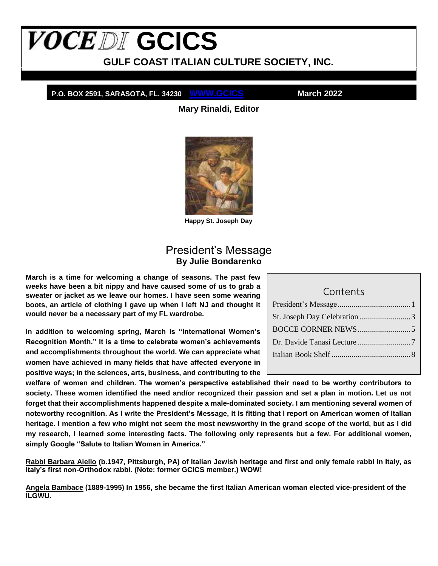# <span id="page-0-1"></span>**VOCEDI** GCICS

**GULF COAST ITALIAN CULTURE SOCIETY, INC.**

**P.O. BOX 2591, SARASOTA, FL. 34230 WWW.GCICS March 2022**

**Mary Rinaldi, Editor**



**Happy St. Joseph Day**

### President's Message **By Julie Bondarenko**

<span id="page-0-0"></span>**March is a time for welcoming a change of seasons. The past few weeks have been a bit nippy and have caused some of us to grab a sweater or jacket as we leave our homes. I have seen some wearing boots, an article of clothing I gave up when I left NJ and thought it would never be a necessary part of my FL wardrobe.**

**In addition to welcoming spring, March is "International Women's Recognition Month." It is a time to celebrate women's achievements and accomplishments throughout the world. We can appreciate what women have achieved in many fields that have affected everyone in positive ways; in the sciences, arts, business, and contributing to the** 

Contents [President's Message.....................................1](#page-0-0) [St. Joseph Day Celebration](#page-2-0) ..........................3 [BOCCE CORNER NEWS...........................5](#page-4-0) [Dr. Davide Tanasi Lecture...........................7](#page-6-0) Italian Book Shelf [........................................8](#page-7-0)

**welfare of women and children. The women's perspective established their need to be worthy contributors to society. These women identified the need and/or recognized their passion and set a plan in motion. Let us not forget that their accomplishments happened despite a male-dominated society. I am mentioning several women of noteworthy recognition. As I write the President's Message, it is fitting that I report on American women of Italian heritage. I mention a few who might not seem the most newsworthy in the grand scope of the world, but as I did my research, I learned some interesting facts. The following only represents but a few. For additional women, simply Google "Salute to Italian Women in America."**

**Rabbi Barbara Aiello (b.1947, Pittsburgh, PA) of Italian Jewish heritage and first and only female rabbi in Italy, as Italy's first non-Orthodox rabbi. (Note: former GCICS member.) WOW!**

**Angela Bambace (1889-1995) In 1956, she became the first Italian American woman elected vice-president of the ILGWU.**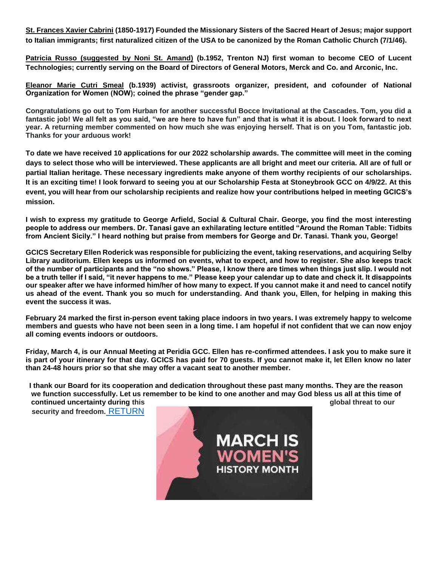**St. Frances Xavier Cabrini (1850-1917) Founded the Missionary Sisters of the Sacred Heart of Jesus; major support to Italian immigrants; first naturalized citizen of the USA to be canonized by the Roman Catholic Church (7/1/46).**

**Patricia Russo (suggested by Noni St. Amand) (b.1952, Trenton NJ) first woman to become CEO of Lucent Technologies; currently serving on the Board of Directors of General Motors, Merck and Co. and Arconic, Inc.**

**Eleanor Marie Cutri Smeal (b.1939) activist, grassroots organizer, president, and cofounder of National Organization for Women (NOW); coined the phrase "gender gap."**

**Congratulations go out to Tom Hurban for another successful Bocce Invitational at the Cascades. Tom, you did a fantastic job! We all felt as you said, "we are here to have fun" and that is what it is about. I look forward to next year. A returning member commented on how much she was enjoying herself. That is on you Tom, fantastic job. Thanks for your arduous work!**

**To date we have received 10 applications for our 2022 scholarship awards. The committee will meet in the coming days to select those who will be interviewed. These applicants are all bright and meet our criteria. All are of full or partial Italian heritage. These necessary ingredients make anyone of them worthy recipients of our scholarships. It is an exciting time! I look forward to seeing you at our Scholarship Festa at Stoneybrook GCC on 4/9/22. At this event, you will hear from our scholarship recipients and realize how your contributions helped in meeting GCICS's mission.**

**I wish to express my gratitude to George Arfield, Social & Cultural Chair. George, you find the most interesting people to address our members. Dr. Tanasi gave an exhilarating lecture entitled "Around the Roman Table: Tidbits from Ancient Sicily." I heard nothing but praise from members for George and Dr. Tanasi. Thank you, George!**

**GCICS Secretary Ellen Roderick was responsible for publicizing the event, taking reservations, and acquiring Selby Library auditorium. Ellen keeps us informed on events, what to expect, and how to register. She also keeps track of the number of participants and the "no shows." Please, I know there are times when things just slip. I would not be a truth teller if I said, "it never happens to me." Please keep your calendar up to date and check it. It disappoints our speaker after we have informed him/her of how many to expect. If you cannot make it and need to cancel notify us ahead of the event. Thank you so much for understanding. And thank you, Ellen, for helping in making this event the success it was.**

**February 24 marked the first in-person event taking place indoors in two years. I was extremely happy to welcome members and guests who have not been seen in a long time. I am hopeful if not confident that we can now enjoy all coming events indoors or outdoors.**

**Friday, March 4, is our Annual Meeting at Peridia GCC. Ellen has re-confirmed attendees. I ask you to make sure it is part of your itinerary for that day. GCICS has paid for 70 guests. If you cannot make it, let Ellen know no later than 24-48 hours prior so that she may offer a vacant seat to another member.**

**I thank our Board for its cooperation and dedication throughout these past many months. They are the reason we function successfully. Let us remember to be kind to one another and may God bless us all at this time of continued uncertainty during this global threat to our analysis of the global threat to our analysis of the global threat to our analysis of the global threat to our analysis of the global threat to our analysis of the gl** 

**security and freedom.** [RETURN](#page-0-1)

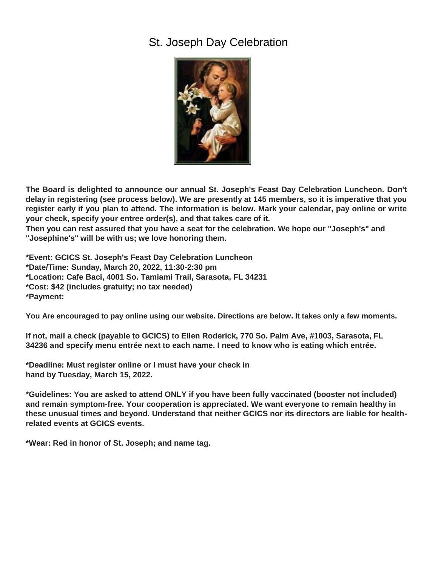## <span id="page-2-0"></span>St. Joseph Day Celebration



**The Board is delighted to announce our annual St. Joseph's Feast Day Celebration Luncheon. Don't delay in registering (see process below). We are presently at 145 members, so it is imperative that you register early if you plan to attend. The information is below. Mark your calendar, pay online or write your check, specify your entree order(s), and that takes care of it.**

**Then you can rest assured that you have a seat for the celebration. We hope our "Joseph's" and "Josephine's" will be with us; we love honoring them.**

**\*Event: GCICS St. Joseph's Feast Day Celebration Luncheon \*Date/Time: Sunday, March 20, 2022, 11:30-2:30 pm \*Location: Cafe Baci, 4001 So. Tamiami Trail, Sarasota, FL 34231 \*Cost: \$42 (includes gratuity; no tax needed) \*Payment:**

**You Are encouraged to pay online using our website. Directions are below. It takes only a few moments.**

**If not, mail a check (payable to GCICS) to Ellen Roderick, 770 So. Palm Ave, #1003, Sarasota, FL 34236 and specify menu entrée next to each name. I need to know who is eating which entrée.**

**\*Deadline: Must register online or I must have your check in hand by Tuesday, March 15, 2022.**

**\*Guidelines: You are asked to attend ONLY if you have been fully vaccinated (booster not included) and remain symptom-free. Your cooperation is appreciated. We want everyone to remain healthy in these unusual times and beyond. Understand that neither GCICS nor its directors are liable for healthrelated events at GCICS events.**

**\*Wear: Red in honor of St. Joseph; and name tag.**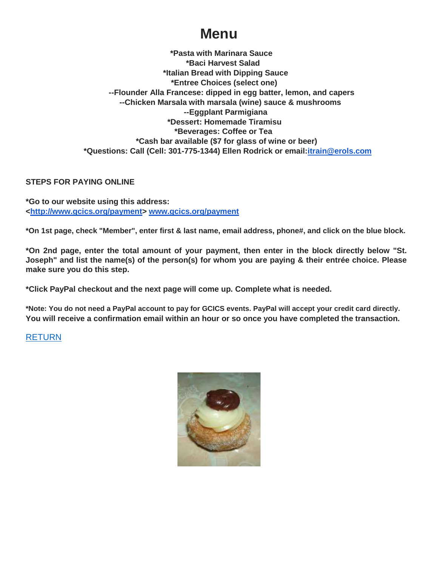# **Menu**

**\*Pasta with Marinara Sauce \*Baci Harvest Salad \*Italian Bread with Dipping Sauce \*Entree Choices (select one) --Flounder Alla Francese: dipped in egg batter, lemon, and capers --Chicken Marsala with marsala (wine) sauce & mushrooms --Eggplant Parmigiana \*Dessert: Homemade Tiramisu \*Beverages: Coffee or Tea \*Cash bar available (\$7 for glass of wine or beer) \*Questions: Call (Cell: 301-775-1344) Ellen Rodrick or email:itrain@erols.com**

#### **STEPS FOR PAYING ONLINE**

**\*Go to our website using this address: <http://www.gcics.org/payment> www.gcics.org/payment**

**\*On 1st page, check "Member", enter first & last name, email address, phone#, and click on the blue block.**

**\*On 2nd page, enter the total amount of your payment, then enter in the block directly below "St. Joseph" and list the name(s) of the person(s) for whom you are paying & their entrée choice. Please make sure you do this step.**

**\*Click PayPal checkout and the next page will come up. Complete what is needed.**

**\*Note: You do not need a PayPal account to pay for GCICS events. PayPal will accept your credit card directly. You will receive a confirmation email within an hour or so once you have completed the transaction.**

#### [RETURN](#page-0-1)

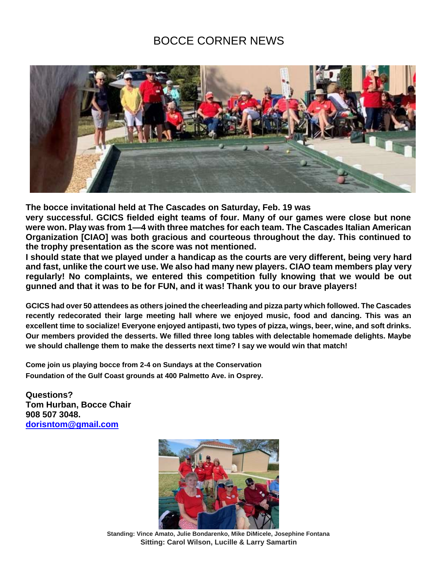## BOCCE CORNER NEWS

<span id="page-4-0"></span>

**The bocce invitational held at The Cascades on Saturday, Feb. 19 was**

**very successful. GCICS fielded eight teams of four. Many of our games were close but none were won. Play was from 1—4 with three matches for each team. The Cascades Italian American Organization [CIAO] was both gracious and courteous throughout the day. This continued to the trophy presentation as the score was not mentioned.**

**I should state that we played under a handicap as the courts are very different, being very hard and fast, unlike the court we use. We also had many new players. CIAO team members play very regularly! No complaints, we entered this competition fully knowing that we would be out gunned and that it was to be for FUN, and it was! Thank you to our brave players!**

**GCICS had over 50 attendees as others joined the cheerleading and pizza party which followed. The Cascades recently redecorated their large meeting hall where we enjoyed music, food and dancing. This was an excellent time to socialize! Everyone enjoyed antipasti, two types of pizza, wings, beer, wine, and soft drinks. Our members provided the desserts. We filled three long tables with delectable homemade delights. Maybe we should challenge them to make the desserts next time? I say we would win that match!**

**Come join us playing bocce from 2-4 on Sundays at the Conservation Foundation of the Gulf Coast grounds at 400 Palmetto Ave. in Osprey.**

**Questions? Tom Hurban, Bocce Chair 908 507 3048. dorisntom@gmail.com**



**Standing: Vince Amato, Julie Bondarenko, Mike DiMicele, Josephine Fontana Sitting: Carol Wilson, Lucille & Larry Samartin**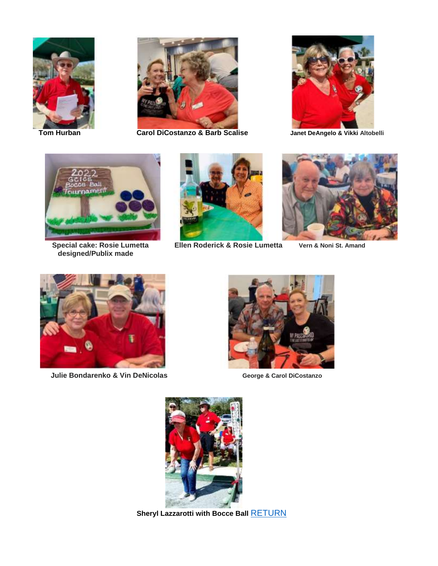



**Tom Hurban Carol DiCostanzo & Barb Scalise Janet DeAngelo & Vikki Altobelli**





**designed/Publix made**



**Special cake: Rosie Lumetta Ellen Roderick & Rosie Lumetta Vern & Noni St. Amand**





**Julie Bondarenko & Vin DeNicolas <b>George & Carol DiCostanzo** 





**Sheryl Lazzarotti with Bocce Ball [RETURN](#page-0-1)**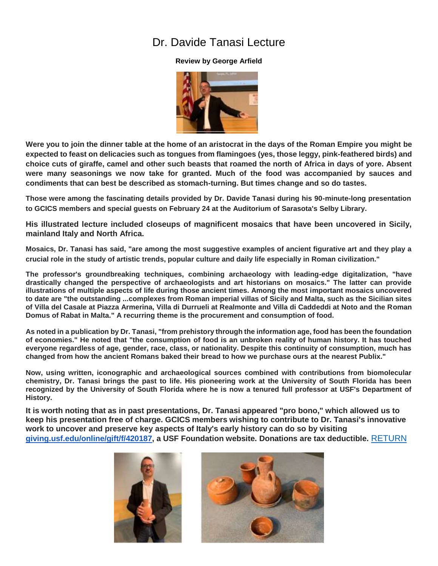## Dr. Davide Tanasi Lecture

#### **Review by George Arfield**



<span id="page-6-0"></span>**Were you to join the dinner table at the home of an aristocrat in the days of the Roman Empire you might be expected to feast on delicacies such as tongues from flamingoes (yes, those leggy, pink-feathered birds) and choice cuts of giraffe, camel and other such beasts that roamed the north of Africa in days of yore. Absent were many seasonings we now take for granted. Much of the food was accompanied by sauces and condiments that can best be described as stomach-turning. But times change and so do tastes.**

**Those were among the fascinating details provided by Dr. Davide Tanasi during his 90-minute-long presentation to GCICS members and special guests on February 24 at the Auditorium of Sarasota's Selby Library.**

**His illustrated lecture included closeups of magnificent mosaics that have been uncovered in Sicily, mainland Italy and North Africa.**

**Mosaics, Dr. Tanasi has said, "are among the most suggestive examples of ancient figurative art and they play a crucial role in the study of artistic trends, popular culture and daily life especially in Roman civilization."**

**The professor's groundbreaking techniques, combining archaeology with leading-edge digitalization, "have drastically changed the perspective of archaeologists and art historians on mosaics." The latter can provide illustrations of multiple aspects of life during those ancient times. Among the most important mosaics uncovered to date are "the outstanding ...complexes from Roman imperial villas of Sicily and Malta, such as the Sicilian sites of Villa del Casale at Piazza Armerina, Villa di Durrueli at Realmonte and Villa di Caddeddi at Noto and the Roman Domus of Rabat in Malta." A recurring theme is the procurement and consumption of food.**

**As noted in a publication by Dr. Tanasi, "from prehistory through the information age, food has been the foundation of economies." He noted that "the consumption of food is an unbroken reality of human history. It has touched everyone regardless of age, gender, race, class, or nationality. Despite this continuity of consumption, much has changed from how the ancient Romans baked their bread to how we purchase ours at the nearest Publix."**

**Now, using written, iconographic and archaeological sources combined with contributions from biomolecular chemistry, Dr. Tanasi brings the past to life. His pioneering work at the University of South Florida has been recognized by the University of South Florida where he is now a tenured full professor at USF's Department of History.**

**It is worth noting that as in past presentations, Dr. Tanasi appeared "pro bono," which allowed us to keep his presentation free of charge. GCICS members wishing to contribute to Dr. Tanasi's innovative work to uncover and preserve key aspects of Italy's early history can do so by visiting giving.usf.edu/online/gift/f/420187, a USF Foundation website. Donations are tax deductible.** [RETURN](#page-0-1)



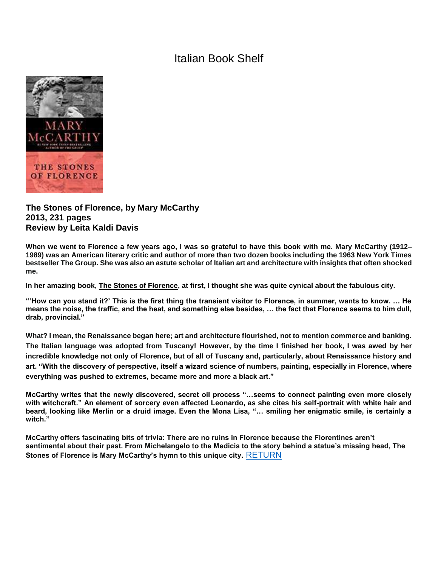## Italian Book Shelf

<span id="page-7-0"></span>

#### **The Stones of Florence, by Mary McCarthy 2013, 231 pages Review by Leita Kaldi Davis**

**When we went to Florence a few years ago, I was so grateful to have this book with me. Mary McCarthy (1912– 1989) was an American literary critic and author of more than two dozen books including the 1963 New York Times bestseller The Group. She was also an astute scholar of Italian art and architecture with insights that often shocked me.**

**In her amazing book, The Stones of Florence, at first, I thought she was quite cynical about the fabulous city.**

**"'How can you stand it?' This is the first thing the transient visitor to Florence, in summer, wants to know. … He means the noise, the traffic, and the heat, and something else besides, … the fact that Florence seems to him dull, drab, provincial."**

**What? I mean, the Renaissance began here; art and architecture flourished, not to mention commerce and banking. The Italian language was adopted from Tuscany! However, by the time I finished her book, I was awed by her incredible knowledge not only of Florence, but of all of Tuscany and, particularly, about Renaissance history and art. "With the discovery of perspective, itself a wizard science of numbers, painting, especially in Florence, where everything was pushed to extremes, became more and more a black art."**

**McCarthy writes that the newly discovered, secret oil process "…seems to connect painting even more closely with witchcraft." An element of sorcery even affected Leonardo, as she cites his self-portrait with white hair and beard, looking like Merlin or a druid image. Even the Mona Lisa, "… smiling her enigmatic smile, is certainly a witch."**

**McCarthy offers fascinating bits of trivia: There are no ruins in Florence because the Florentines aren't sentimental about their past. From Michelangelo to the Medicis to the story behind a statue's missing head, The Stones of Florence is Mary McCarthy's hymn to this unique city.** [RETURN](#page-0-1)